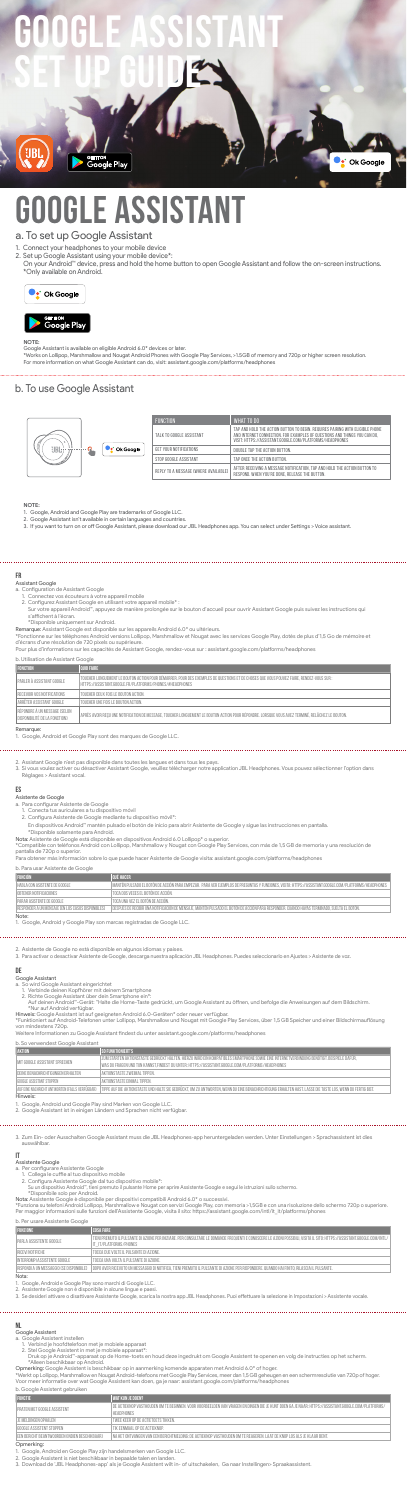# **FR**

- Assistant Google
	-
	-
- a. Configuration de Assistant Google<br>1. Connectez vos écouteurs à votre appareil mobile<br>2. Configurez Assistant Google en utilisant votre appareil mobile\* :<br>Sur votre appareil Android''', appuyez de manière prolongée sur l s'affichent à l'écran.
	- \*Disponible uniquement sur Android.

**Remarque:** Assistant Google est disponible sur les appareils Android 6.0\* ou ultérieurs.<br>\*Fonctionne sur les téléphones Android versions Lollipop, Marshmallow et Nougat avec les services Google Play, dotés de plus d'1,5 G

| b. Utilisation de Assistant Google                            |                                                                                                                                                                                                     |  |
|---------------------------------------------------------------|-----------------------------------------------------------------------------------------------------------------------------------------------------------------------------------------------------|--|
| <b>FONCTION</b>                                               | <b>OUOI FAIRE</b>                                                                                                                                                                                   |  |
| PARI FR À ASSISTANT GOOGLE                                    | TOUCHER LONGUEMENT LE BOUTON ACTION POUR DÉMARRER. POUR DES EXEMPLES DE QUESTIONS ET DE CHOSES QUE VOUS POUVEZ FAIRE. RENDEZ-VOUS SUR :<br>HTTPS://ASSISTANT.GOOGLE.FR/PLATFORMS/PHONES/#HEADPHONES |  |
| RECEVOIR VOS NOTIFICATIONS                                    | TOUCHER DEUX FOIS I E BOUTON ACTION.                                                                                                                                                                |  |
| ARRÊTER ASSISTANT GOOGLE                                      | TOUCHER UNF FOIS I F BOUTON ACTION.                                                                                                                                                                 |  |
| RÉPONDRE À UN MESSAGE (SELON<br>DISPONIBILITÉ DE LA FONCTION) | APRÈS AVOIR RECU UNE NOTIFICATION DE MESSAGE. TOUCHER LONGUEMENT LE BOUTON ACTION POUR RÉPONDRE. LORSQUE VOUS AVEZ TERMINÉ, RELÂCHEZ LE BOUTON.                                                     |  |
| Remarque:                                                     |                                                                                                                                                                                                     |  |

Remarque: 1. Google, Android et Google Play sont des marques de Google LLC.

2. Assistant Google n'est pas disponible dans toutes les langues et dans tous les pays.<br>3. Si vous voulez activer ou désactiver Assistant Google, veuillez télécharger notre application JBL Headphones. Vous pouvez sélection

# **ES**

- 
- 
- Asistente de Google a. Para configurar Asistente de Google 1. Conecta tus auriculares a tu dispositivo móvil 2. Configura Asistente de Google mediante tu dispositivo móvil\*:
- En dispositivos Android™ mantén pulsado el botón de inicio para abrir Asistente de Google y sigue las instrucciones en pantalla. \*Disponible solamente para Android.
- 
- 

**Nota**: Asistente de Google está disponible en dispositivos Android 6.0 Lollipop\* o superior.<br>\*Compatible con teléfonos Android con Lollipop, Marshmallow y Nougat con Google Play Services, con más de 1,5 GB de memoria y un

# b. Para usar Asistente de Google

| <b>FUNCIÓN</b>                                     | <b>OUÉ HACER</b>                                                                                                                                      |
|----------------------------------------------------|-------------------------------------------------------------------------------------------------------------------------------------------------------|
| HABLA CON ASISTENTE DE GOOGLE                      | MANTÉN PULSADO EL BOTÓN DE ACCIÓN PARA EMPEZAR. PARA VER EJEMPLOS DE PREGUNTAS Y FUNCIONES. VISITA: HTTPS://ASSISTANT.GOOGLE.COM/PLATFORMS/HEADPHONES |
| OBTENER NOTIFICACIONES                             | TOCA DOS VECES EL BOTÓN DE ACCIÓN.                                                                                                                    |
| PARAR ASISTENTE DE GOOGLE                          | TOCA UNA VEZ EL BOTÓN DE ACCIÓN.                                                                                                                      |
| FRESPONDER A UN MENSAJE (EN LOS CASOS DISPONIBLES) | I DESPUÉS DE RECIBIR UNA NOTIFICACIÓN DE MENSAJE. MANTÉN PULSADO EL BOTÓN DE ACCIÓN PARA RESPONDER, CUANDO HAYAS TERMINADO, SUELTA EL BOTÓN,          |
| Note:                                              |                                                                                                                                                       |

Note: 1. Google, Android y Google Play son marcas registradas de Google LLC.

2. Asistente de Google no está disponible en algunos idiomas y países. 3. Para activar o desactivar Asistente de Google, descarga nuestra aplicación JBL Headphones. Puedes seleccionarlo en Ajustes > Asistente de voz.

- 
- 
- Google Assistent a. Google Assistent instellen 1. Verbind je hoofdtelefoon met je mobiele apparaat 2. Stel Google Assistent in met je mobiele apparaat\*: Druk op je Android™-apparaat op de Home-toets en houd deze ingedrukt om Google Assistent te openen en volg de instructies op het scherm.
- 
- \*Alleen beschikbaar op Android.<br>O**pmerking:** Google Assistent is beschikbaar op in aanmerking komende apparaten met Android 6.0\* of hoger.<br>\*Werkt op Lollipop, Marshmallow en Nougat Android-telefoons met Google Play Service

## **DE**

- Google Assistant<br>a. So wird Googl<br>1. Verbinde de
- .<br>Assistant eingerichtet Assistant<br>Andring Freinit dei
	-
- -

1. Verbinde deinen Kopfhörer mit deinem Smartphone<br>2. Richte Google Assistant über dein Smartphone ein\*:<br>"Nur auf deinen Android"-Gerät: "Halte die Home-Taste gedrückt, um Google Assistant zu öffnen, und befolge die Anweis

2. Set up Google Assistant using your mobile device\*:<br>On your Android™ device, press and hold the home button to open Google Assistant and follow the on-screen instructions. \*Only available on Android.





| b. So verwendest Google Assistant              |                                                                                                                                                                                                                                               |  |
|------------------------------------------------|-----------------------------------------------------------------------------------------------------------------------------------------------------------------------------------------------------------------------------------------------|--|
| <b>AKTION</b>                                  | <b>SO FUNKTIONIERT'S</b>                                                                                                                                                                                                                      |  |
| I MIT GOOGI E ASSISTANT SPRECHEN               | ZUM STARTEN AKTIONSTASTE GEDRÜCKT HALTEN. HIERZU WIRD EIN KOMPATIBLES SMARTPHONE SOWIE EINE INTERNETVERBINDUNG BENÖTIGT. BEISPIELE DAFÜR.<br>WAS DU FRAGEN UND TUN KANNST.FINDEST DU UNTER: HTTPS://ASSISTANT.GOOGLE.COM/PLATFORMS/HEADPHONES |  |
| DEINE BENACHRICHTIGUNGEN ERHALTEN              | AKTIONSTASTE ZWEIMAL TIPPEN.                                                                                                                                                                                                                  |  |
| I GOOGLE ASSISTANT STOPPEN                     | AKTIONSTASTE FINMAL TIPPEN.                                                                                                                                                                                                                   |  |
| AUF EINE NACHRICHT ANTWORTEN (FALLS VERFÜGBAR) | TIPPE AUF DIE AKTIONSTASTE UND HALTE SIE GEDRÜCKT, UM ZU ANTWORTEN, WENN DU EINE BENACHRICHTIGUNG ERHALTEN HAST. LASSE DIE TASTE LOS, WENN DU FERTIG BIST.                                                                                    |  |

Hinweis:

1. Google, Android und Google Play sind Marken von Google LLC. 2. Google Assistant ist in einigen Ländern und Sprachen nicht verfügbar.

3. Zum Ein- oder Ausschalten Google Assistant muss die JBL He

auswählbar.

- 
- 
- 
- 

**|T**<br>Assistente Google<br>- A. Per configurare Assistente Google<br>- 2. Configura Assistente Google dal tuo dispositivo mobile\*:<br>- 2. Configura Assistente Google dal tuo dispositivi omobile\*:<br>- Su un dispositivo Android", 'tien

## b. Per usare Assistente Google

| <b>FUNZIONE</b>                            | <b>COSA FARE</b>                                                                                                                                                                                    |
|--------------------------------------------|-----------------------------------------------------------------------------------------------------------------------------------------------------------------------------------------------------|
| PARI A ASSISTENTE GOOGLE                   | TIENI PREMUTO IL PULSANTE DI AZIONE PER INIZIARE. PER CONSULTARE LE DOMANDE FREQUENTI E CONOSCERE LE AZIONI POSSIBILI. VISITA IL SITO: HTTPS://ASSISTANT.GOOGLE.COM/INTL/<br>IT IT/PLATFORMS/PHONES |
| RICEVI NOTIFICHE                           | TOCCA DUE VOLTE IL PUI SANTE DI AZIONE.                                                                                                                                                             |
| INTERROMPLASSISTENTE GOOGLE                | I TOCCA UNA VOLTA IL PUI SANTE DI AZIONE.                                                                                                                                                           |
| I RISPONDI A UN MESSAGGIO (SE DISPONIBILE) | DOPO AVER RICEVUTO UN MESSAGGIO DI NOTIFICA. TIENI PREMUTO IL PULSANTE DI AZIONE PER RISPONDERE. QUANDO HAI FINITO, RILASCIA IL PULSANTE.                                                           |

|RISPONI A UN MESSAGGIO ISE DISPONBILE) | DOPO AVER RICEVITO UN MESSAGGIO INOTIFICA, IN PRISANTE IN AZIONE PER RISPONDERE QUANDO HAI FINTO, RILASCIA IL PULSANTE.<br>Nota:<br>2. Assistente Google non è disponibile in alcune lingu

# **NL**

| <b>FUNCTIE</b>                                  | <b>WAT KUN JE DOEN?</b>                                                                                                                                                      |
|-------------------------------------------------|------------------------------------------------------------------------------------------------------------------------------------------------------------------------------|
| PRATEN MET GOOGLE ASSISTENT                     | I DE ACTIEKNOP VASTHOUDEN OM TE BEGINNEN. VOOR VOORBEEI DEN VAN VRAGEN EN DINGEN DIE JE KUNT DOEN GA JE NAAR: HTTPS://ASSISTANT.GOOGI E.COM/PI ATEORMS/<br><b>HEADPHONES</b> |
| I IF MEI DINGEN OPHALEN                         | TWEE KEER OP DE ACTIETOETS TIKKEN.                                                                                                                                           |
| GOOGLE ASSISTENT STOPPEN                        | TIK FENMAAL OP DE ACTIEKNOP.                                                                                                                                                 |
| I FEN BERICHT BEANTWOORDEN (INDIEN BESCHIKBAAR) | I NA HET ONTVANGEN VAN EEN BERICHTMEI DING: DE ACTIEKNOP VASTHOUDEN OM TE REAGEREN. I AAT DE KNOP I OS ALS JE KI AAR BENT.                                                   |

- 
- 
- **Opmerking:**<br>1. Google, Android en Google Play zijn handelsmerken van Google LLC.<br>2. Google Assistent is niet beschikbaar in bepaalde talen en landen.<br>3. Download de 'JBL Headphones-app' als je Google Assistent wilt in- of

# a. To set up Google Assistant

Connect your headphones to your mobile device

## **NOTE:**

Google Assistant is available on eligible Android 6.0\* devices or later.<br>\*Works on Lollipop, Marshmallow and Nougat Android Phones with Google Play Services, >1.5GB of memory and 720p or higher screen resolution.<br>For more

b. To use Google Assistant



# **Google Assistant Set Up Guide**



"<br>gle Play

# **GLE ASSISTAN**

|                        | <b>FUNCTION</b>                      | WHAT TO DO                                                                                                                                                                                                             |
|------------------------|--------------------------------------|------------------------------------------------------------------------------------------------------------------------------------------------------------------------------------------------------------------------|
|                        | TALK TO GOOGLE ASSISTANT             | TAP AND HOLD THE ACTION BUTTON TO BEGIN. REQUIRES PAIRING WITH ELIGIBLE PHONE<br>AND INTERNET CONNECTION. FOR EXAMPLES OF QUESTIONS AND THINGS YOU CAN DO.<br>VISIT: HTTPS://ASSISTANT.GOOGLE.COM/PLATEORMS/HEADPHONES |
| GET YOUR NOTIFICATIONS | DOUBLE TAP THE ACTION BUTTON.        |                                                                                                                                                                                                                        |
|                        | STOP GOOGLE ASSISTANT                | TAP ONCE THE ACTION BUTTON.                                                                                                                                                                                            |
|                        | REPLY TO A MESSAGE (WHERE AVAILABLE) | AFTER RECEIVING A MESSAGE NOTIFICATION. TAP AND HOLD THE ACTION BUTTON TO<br>RESPOND, WHEN YOU'RE DONE, RELEASE THE BUTTON.                                                                                            |

Ck Google

- 
- NOTE:<br>1. Google, Android and Google Play are trademarks of Google LLC.<br>2. Google Assistant isn't available in certain languages and countries.<br>3. If you want to turn on or off Google Assistant, please download our JBL H
-